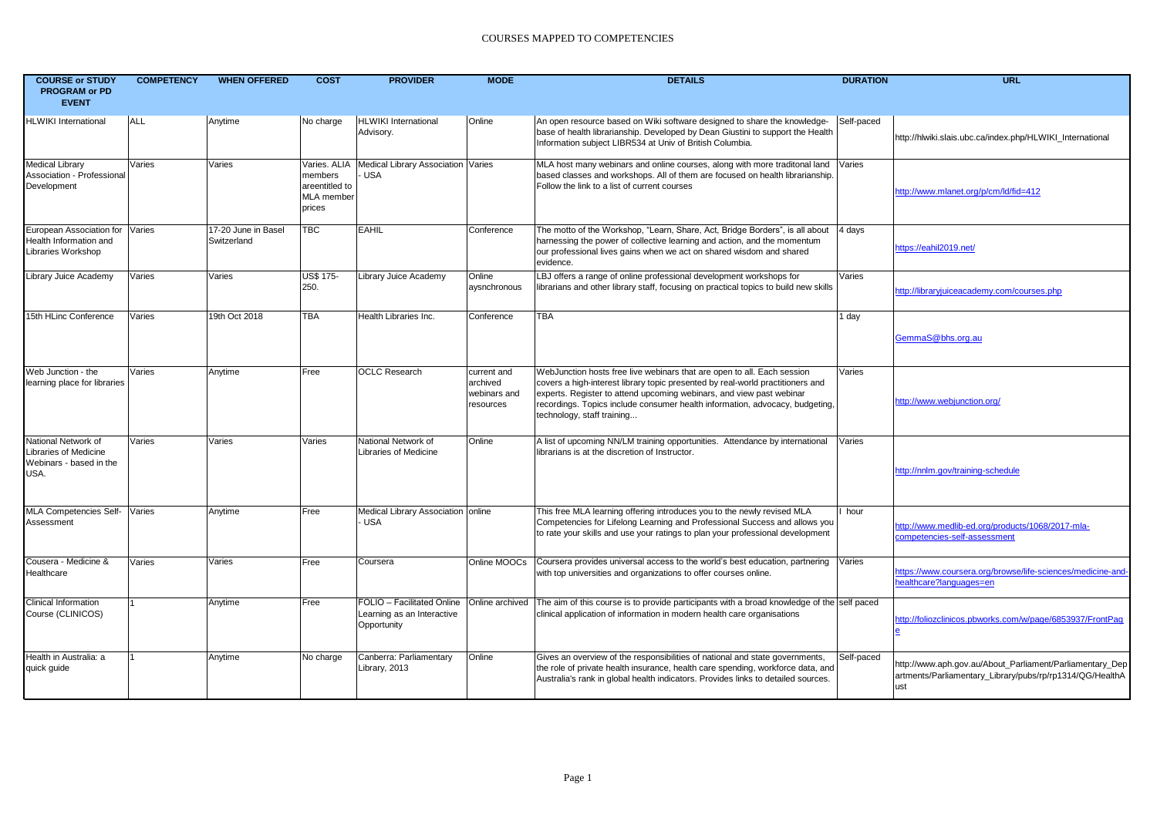| <b>COURSE or STUDY</b><br><b>PROGRAM or PD</b><br><b>EVENT</b>                  | <b>COMPETENCY</b> | <b>WHEN OFFERED</b>                | <b>COST</b>                                                       | <b>PROVIDER</b>                                                         | <b>MODE</b>                                          | <b>DETAILS</b>                                                                                                                                                                                                                                                                                                                                  | <b>DURATION</b> | <b>URL</b>                                                                                                                  |
|---------------------------------------------------------------------------------|-------------------|------------------------------------|-------------------------------------------------------------------|-------------------------------------------------------------------------|------------------------------------------------------|-------------------------------------------------------------------------------------------------------------------------------------------------------------------------------------------------------------------------------------------------------------------------------------------------------------------------------------------------|-----------------|-----------------------------------------------------------------------------------------------------------------------------|
| <b>HLWIKI</b> International                                                     | <b>ALL</b>        | Anytime                            | No charge                                                         | <b>HLWIKI</b> International<br>Advisory.                                | Online                                               | An open resource based on Wiki software designed to share the knowledge-<br>base of health librarianship. Developed by Dean Giustini to support the Health<br>Information subject LIBR534 at Univ of British Columbia.                                                                                                                          | Self-paced      | http://hlwiki.slais.ubc.ca/index.php/HLWIKI International                                                                   |
| <b>Medical Library</b><br>Association - Professional<br>Development             | Varies            | Varies                             | Varies. ALIA<br>members<br>areentitled to<br>MLA member<br>prices | Medical Library Association Varies<br><b>USA</b>                        |                                                      | MLA host many webinars and online courses, along with more traditonal land Varies<br>based classes and workshops. All of them are focused on health librarianship.<br>Follow the link to a list of current courses                                                                                                                              |                 | http://www.mlanet.org/p/cm/ld/fid=412                                                                                       |
| European Association for Varies<br>Health Information and<br>Libraries Workshop |                   | 17-20 June in Basel<br>Switzerland | <b>TBC</b>                                                        | <b>EAHIL</b>                                                            | Conference                                           | The motto of the Workshop, "Learn, Share, Act, Bridge Borders", is all about 4 days<br>harnessing the power of collective learning and action, and the momentum<br>our professional lives gains when we act on shared wisdom and shared<br>evidence.                                                                                            |                 | https://eahil2019.net/                                                                                                      |
| Library Juice Academy                                                           | Varies            | Varies                             | <b>US\$ 175-</b><br>250.                                          | Library Juice Academy                                                   | Online<br>aysnchronous                               | LBJ offers a range of online professional development workshops for<br>librarians and other library staff, focusing on practical topics to build new skills                                                                                                                                                                                     | Varies          | http://libraryjuiceacademy.com/courses.php                                                                                  |
| 15th HLinc Conference                                                           | Varies            | 19th Oct 2018                      | <b>TBA</b>                                                        | Health Libraries Inc.                                                   | Conference                                           | <b>TBA</b>                                                                                                                                                                                                                                                                                                                                      | 1 day           | GemmaS@bhs.org.au                                                                                                           |
| Web Junction - the<br>learning place for libraries                              | Varies            | Anytime                            | Free                                                              | <b>OCLC Research</b>                                                    | current and<br>archived<br>webinars and<br>resources | WebJunction hosts free live webinars that are open to all. Each session<br>covers a high-interest library topic presented by real-world practitioners and<br>experts. Register to attend upcoming webinars, and view past webinar<br>recordings. Topics include consumer health information, advocacy, budgeting,<br>technology, staff training | Varies          | http://www.webjunction.org/                                                                                                 |
| National Network of<br>Libraries of Medicine<br>Webinars - based in the<br>USA. | Varies            | Varies                             | Varies                                                            | National Network of<br>Libraries of Medicine                            | Online                                               | A list of upcoming NN/LM training opportunities. Attendance by international<br>librarians is at the discretion of Instructor.                                                                                                                                                                                                                  | Varies          | http://nnlm.gov/training-schedule                                                                                           |
| MLA Competencies Self-<br>Assessment                                            | Varies            | Anytime                            | Free                                                              | Medical Library Association online<br><b>USA</b>                        |                                                      | This free MLA learning offering introduces you to the newly revised MLA<br>Competencies for Lifelong Learning and Professional Success and allows you<br>to rate your skills and use your ratings to plan your professional development                                                                                                         | hour            | http://www.medlib-ed.org/products/1068/2017-mla-<br>competencies-self-assessment                                            |
| Cousera - Medicine &<br>Healthcare                                              | Varies            | Varies                             | Free                                                              | Coursera                                                                | Online MOOCs                                         | Coursera provides universal access to the world's best education, partnering<br>with top universities and organizations to offer courses online.                                                                                                                                                                                                | Varies          | https://www.coursera.org/browse/life-sciences/medicine-and-<br>healthcare?languages=en                                      |
| <b>Clinical Information</b><br>Course (CLINICOS)                                |                   | Anytime                            | Free                                                              | FOLIO - Facilitated Online<br>Learning as an Interactive<br>Opportunity | Online archived                                      | The aim of this course is to provide participants with a broad knowledge of the self paced<br>clinical application of information in modern health care organisations                                                                                                                                                                           |                 | http://foliozclinicos.pbworks.com/w/page/6853937/FrontPag                                                                   |
| Health in Australia: a<br>quick guide                                           |                   | Anytime                            | No charge                                                         | Canberra: Parliamentary<br>Library, 2013                                | Online                                               | Gives an overview of the responsibilities of national and state governments,<br>the role of private health insurance, health care spending, workforce data, and<br>Australia's rank in global health indicators. Provides links to detailed sources.                                                                                            | Self-paced      | http://www.aph.gov.au/About_Parliament/Parliamentary_Dep<br>artments/Parliamentary_Library/pubs/rp/rp1314/QG/HealthA<br>ust |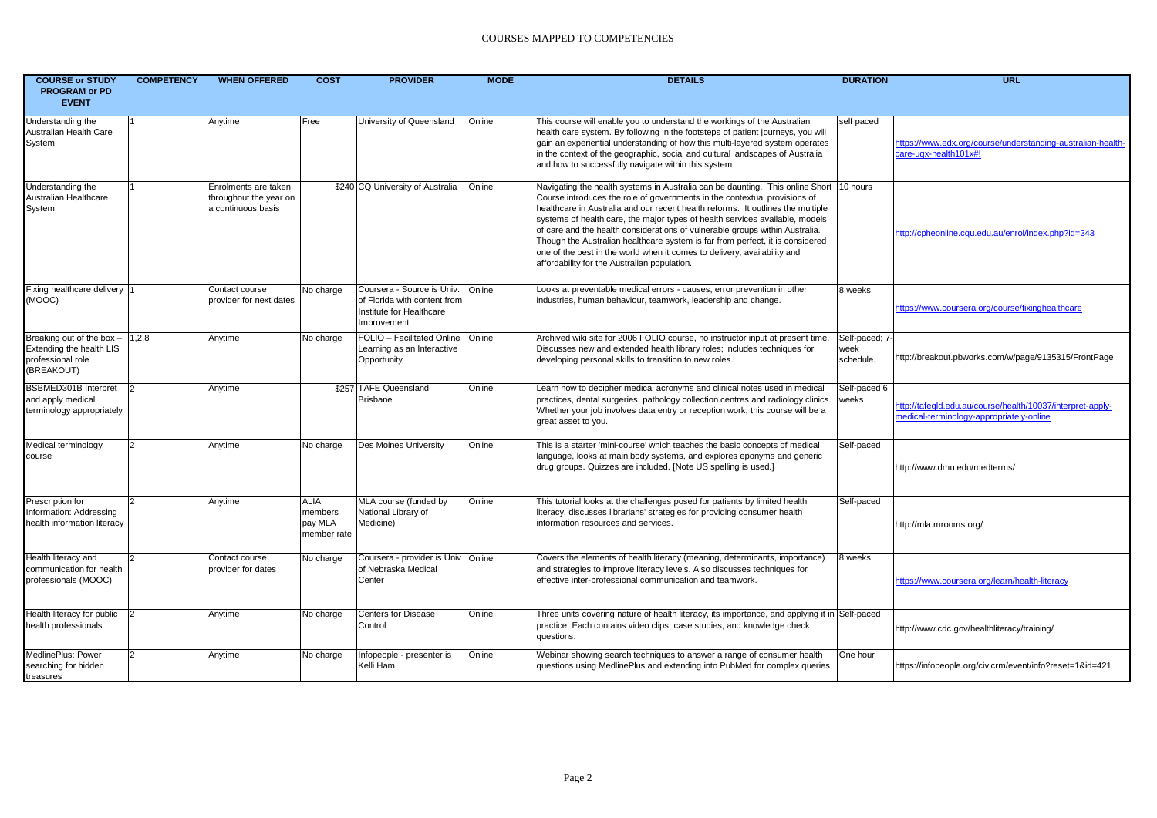| <b>COURSE or STUDY</b><br><b>PROGRAM or PD</b><br><b>EVENT</b>                           | <b>COMPETENCY</b> | <b>WHEN OFFERED</b>                                                  | <b>COST</b>                                      | <b>PROVIDER</b>                                                                                       | <b>MODE</b> | <b>DETAILS</b>                                                                                                                                                                                                                                                                                                                                                                                                                                                                                                                                                                                                                      | <b>DURATION</b>                     | <b>URL</b>                                                                                             |
|------------------------------------------------------------------------------------------|-------------------|----------------------------------------------------------------------|--------------------------------------------------|-------------------------------------------------------------------------------------------------------|-------------|-------------------------------------------------------------------------------------------------------------------------------------------------------------------------------------------------------------------------------------------------------------------------------------------------------------------------------------------------------------------------------------------------------------------------------------------------------------------------------------------------------------------------------------------------------------------------------------------------------------------------------------|-------------------------------------|--------------------------------------------------------------------------------------------------------|
| Understanding the<br>Australian Health Care<br>System                                    |                   | Anytime                                                              | Free                                             | University of Queensland                                                                              | Online      | This course will enable you to understand the workings of the Australian<br>health care system. By following in the footsteps of patient journeys, you will<br>gain an experiential understanding of how this multi-layered system operates<br>in the context of the geographic, social and cultural landscapes of Australia<br>and how to successfully navigate within this system                                                                                                                                                                                                                                                 | self paced                          | https://www.edx.org/course/understanding-australian-health-<br>$care$ -ugx-health101 $x#!$             |
| Understanding the<br>Australian Healthcare<br>System                                     |                   | Enrolments are taken<br>throughout the year on<br>a continuous basis |                                                  | \$240 CQ University of Australia                                                                      | Online      | Navigating the health systems in Australia can be daunting. This online Short 10 hours<br>Course introduces the role of governments in the contextual provisions of<br>healthcare in Australia and our recent health reforms. It outlines the multiple<br>systems of health care, the major types of health services available, models<br>of care and the health considerations of vulnerable groups within Australia.<br>Though the Australian healthcare system is far from perfect, it is considered<br>one of the best in the world when it comes to delivery, availability and<br>affordability for the Australian population. |                                     | http://cpheonline.cqu.edu.au/enrol/index.php?id=343                                                    |
| Fixing healthcare delivery  1<br>(MOOC)                                                  |                   | Contact course<br>provider for next dates                            | No charge                                        | Coursera - Source is Univ.<br>of Florida with content from<br>Institute for Healthcare<br>Improvement | Online      | Looks at preventable medical errors - causes, error prevention in other<br>industries, human behaviour, teamwork, leadership and change.                                                                                                                                                                                                                                                                                                                                                                                                                                                                                            | 8 weeks                             | https://www.coursera.org/course/fixinghealthcare                                                       |
| Breaking out of the box -<br>Extending the health LIS<br>professional role<br>(BREAKOUT) | 1,2,8             | Anytime                                                              | No charge                                        | FOLIO - Facilitated Online Online<br>Learning as an Interactive<br>Opportunity                        |             | Archived wiki site for 2006 FOLIO course, no instructor input at present time.<br>Discusses new and extended health library roles; includes techniques for<br>developing personal skills to transition to new roles.                                                                                                                                                                                                                                                                                                                                                                                                                | Self-paced; 7-<br>week<br>schedule. | http://breakout.pbworks.com/w/page/9135315/FrontPage                                                   |
| BSBMED301B Interpret<br>and apply medical<br>terminology appropriately                   | 2                 | Anytime                                                              |                                                  | \$257 TAFE Queensland<br><b>Brisbane</b>                                                              | Online      | Learn how to decipher medical acronyms and clinical notes used in medical<br>practices, dental surgeries, pathology collection centres and radiology clinics.<br>Whether your job involves data entry or reception work, this course will be a<br>great asset to you.                                                                                                                                                                                                                                                                                                                                                               | Self-paced 6<br>weeks               | http://tafegld.edu.au/course/health/10037/interpret-apply-<br>medical-terminology-appropriately-online |
| Medical terminology<br>course                                                            | $\overline{2}$    | Anytime                                                              | No charge                                        | Des Moines University                                                                                 | Online      | This is a starter 'mini-course' which teaches the basic concepts of medical<br>language, looks at main body systems, and explores eponyms and generic<br>drug groups. Quizzes are included. [Note US spelling is used.]                                                                                                                                                                                                                                                                                                                                                                                                             | Self-paced                          | http://www.dmu.edu/medterms/                                                                           |
| Prescription for<br>Information: Addressing<br>health information literacy               | 12.               | Anytime                                                              | <b>ALIA</b><br>members<br>pay MLA<br>member rate | MLA course (funded by<br>National Library of<br>Medicine)                                             | Online      | This tutorial looks at the challenges posed for patients by limited health<br>literacy, discusses librarians' strategies for providing consumer health<br>information resources and services.                                                                                                                                                                                                                                                                                                                                                                                                                                       | Self-paced                          | http://mla.mrooms.org/                                                                                 |
| Health literacy and<br>communication for health<br>professionals (MOOC)                  |                   | Contact course<br>provider for dates                                 | No charge                                        | Coursera - provider is Univ Online<br>of Nebraska Medical<br>Center                                   |             | Covers the elements of health literacy (meaning, determinants, importance)<br>and strategies to improve literacy levels. Also discusses techniques for<br>effective inter-professional communication and teamwork.                                                                                                                                                                                                                                                                                                                                                                                                                  | 8 weeks                             | https://www.coursera.org/learn/health-literacy                                                         |
| Health literacy for public<br>health professionals                                       |                   | Anytime                                                              | No charge                                        | <b>Centers for Disease</b><br>Control                                                                 | Online      | Three units covering nature of health literacy, its importance, and applying it in Self-paced<br>practice. Each contains video clips, case studies, and knowledge check<br>questions.                                                                                                                                                                                                                                                                                                                                                                                                                                               |                                     | http://www.cdc.gov/healthliteracy/training/                                                            |
| MedlinePlus: Power<br>searching for hidden<br>treasures                                  |                   | Anytime                                                              | No charge                                        | Infopeople - presenter is<br>Kelli Ham                                                                | Online      | Webinar showing search techniques to answer a range of consumer health<br>questions using MedlinePlus and extending into PubMed for complex queries.                                                                                                                                                                                                                                                                                                                                                                                                                                                                                | One hour                            | https://infopeople.org/civicrm/event/info?reset=1&id=421                                               |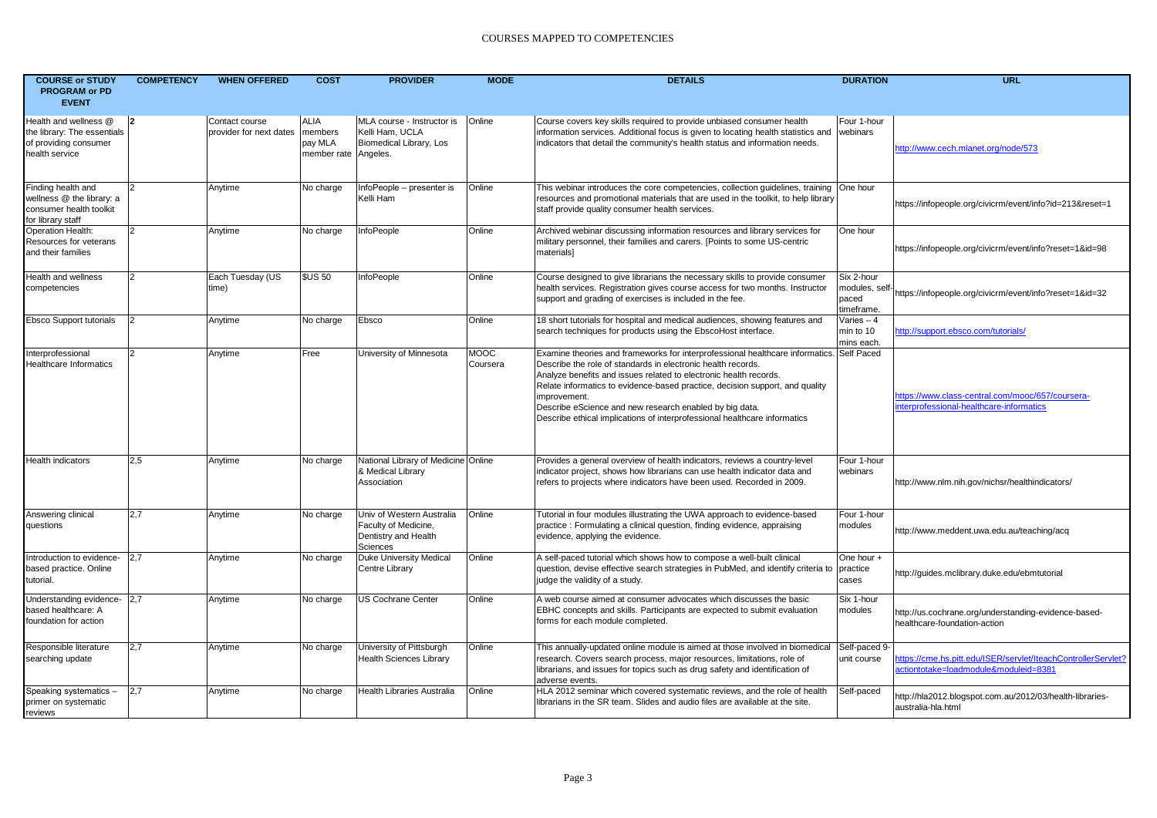| <b>COURSE or STUDY</b><br><b>PROGRAM or PD</b>                                                  | <b>COMPETENCY</b> | <b>WHEN OFFERED</b>                       | <b>COST</b>                                      | <b>PROVIDER</b>                                                                       | <b>MODE</b>             | <b>DETAILS</b>                                                                                                                                                                                                                                                                                                                                                                                                                                                        | <b>DURATION</b>                                    | <b>URL</b>                                                                                             |
|-------------------------------------------------------------------------------------------------|-------------------|-------------------------------------------|--------------------------------------------------|---------------------------------------------------------------------------------------|-------------------------|-----------------------------------------------------------------------------------------------------------------------------------------------------------------------------------------------------------------------------------------------------------------------------------------------------------------------------------------------------------------------------------------------------------------------------------------------------------------------|----------------------------------------------------|--------------------------------------------------------------------------------------------------------|
| <b>EVENT</b>                                                                                    |                   |                                           |                                                  |                                                                                       |                         |                                                                                                                                                                                                                                                                                                                                                                                                                                                                       |                                                    |                                                                                                        |
| Health and wellness @<br>the library: The essentials<br>of providing consumer<br>health service | 12                | Contact course<br>provider for next dates | <b>ALIA</b><br>members<br>pay MLA<br>member rate | MLA course - Instructor is<br>Kelli Ham, UCLA<br>Biomedical Library, Los<br>Angeles.  | Online                  | Course covers key skills required to provide unbiased consumer health<br>information services. Additional focus is given to locating health statistics and<br>indicators that detail the community's health status and information needs.                                                                                                                                                                                                                             | Four 1-hour<br>webinars                            | http://www.cech.mlanet.org/node/573                                                                    |
| Finding health and<br>wellness @ the library: a<br>consumer health toolkit<br>for library staff | l2                | Anytime                                   | No charge                                        | InfoPeople - presenter is<br>Kelli Ham                                                | Online                  | This webinar introduces the core competencies, collection guidelines, training<br>resources and promotional materials that are used in the toolkit, to help library<br>staff provide quality consumer health services.                                                                                                                                                                                                                                                | One hour                                           | https://infopeople.org/civicrm/event/info?id=213&reset=1                                               |
| Operation Health:<br>Resources for veterans<br>and their families                               | $\vert$ 2         | Anytime                                   | No charge                                        | InfoPeople                                                                            | Online                  | Archived webinar discussing information resources and library services for<br>military personnel, their families and carers. [Points to some US-centric<br>materials]                                                                                                                                                                                                                                                                                                 | One hour                                           | https://infopeople.org/civicrm/event/info?reset=1&id=98                                                |
| Health and wellness<br>competencies                                                             | $\overline{2}$    | Each Tuesday (US<br>time)                 | <b>\$US 50</b>                                   | InfoPeople                                                                            | Online                  | Course designed to give librarians the necessary skills to provide consumer<br>health services. Registration gives course access for two months. Instructor<br>support and grading of exercises is included in the fee.                                                                                                                                                                                                                                               | Six 2-hour<br>modules, self<br>paced<br>timeframe. | https://infopeople.org/civicrm/event/info?reset=1&id=32                                                |
| Ebsco Support tutorials                                                                         |                   | Anytime                                   | No charge                                        | Ebsco                                                                                 | Online                  | 18 short tutorials for hospital and medical audiences, showing features and<br>search techniques for products using the EbscoHost interface.                                                                                                                                                                                                                                                                                                                          | Varies - 4<br>min to 10<br>mins each.              | http://support.ebsco.com/tutorials/                                                                    |
| nterprofessional<br><b>Healthcare Informatics</b>                                               | $\vert$ 2         | Anytime                                   | Free                                             | University of Minnesota                                                               | <b>MOOC</b><br>Coursera | Examine theories and frameworks for interprofessional healthcare informatics. Self Paced<br>Describe the role of standards in electronic health records.<br>Analyze benefits and issues related to electronic health records.<br>Relate informatics to evidence-based practice, decision support, and quality<br>improvement.<br>Describe eScience and new research enabled by big data.<br>Describe ethical implications of interprofessional healthcare informatics |                                                    | https://www.class-central.com/mooc/657/coursera-<br>nterprofessional-healthcare-informatics            |
| Health indicators                                                                               | 2.5               | Anytime                                   | No charge                                        | National Library of Medicine Online<br>& Medical Library<br>Association               |                         | Provides a general overview of health indicators, reviews a country-level<br>indicator project, shows how librarians can use health indicator data and<br>refers to projects where indicators have been used. Recorded in 2009.                                                                                                                                                                                                                                       | Four 1-hour<br>webinars                            | http://www.nlm.nih.gov/nichsr/healthindicators/                                                        |
| Answering clinical<br>questions                                                                 | 2,7               | Anytime                                   | No charge                                        | Univ of Western Australia<br>Faculty of Medicine,<br>Dentistry and Health<br>Sciences | Online                  | Tutorial in four modules illustrating the UWA approach to evidence-based<br>practice: Formulating a clinical question, finding evidence, appraising<br>evidence, applying the evidence.                                                                                                                                                                                                                                                                               | Four 1-hour<br>modules                             | http://www.meddent.uwa.edu.au/teaching/acq                                                             |
| ntroduction to evidence-<br>based practice. Online<br>tutorial.                                 | 2,7               | Anytime                                   | No charge                                        | Duke University Medical<br>Centre Library                                             | Online                  | A self-paced tutorial which shows how to compose a well-built clinical<br>question, devise effective search strategies in PubMed, and identify criteria to<br>judge the validity of a study.                                                                                                                                                                                                                                                                          | One hour +<br>practice<br>cases                    | http://guides.mclibrary.duke.edu/ebmtutorial                                                           |
| Understanding evidence-<br>based healthcare: A<br>foundation for action                         | 2,7               | Anytime                                   | No charge                                        | <b>US Cochrane Center</b>                                                             | Online                  | A web course aimed at consumer advocates which discusses the basic<br>EBHC concepts and skills. Participants are expected to submit evaluation<br>forms for each module completed.                                                                                                                                                                                                                                                                                    | Six 1-hour<br>modules                              | http://us.cochrane.org/understanding-evidence-based-<br>healthcare-foundation-action                   |
| Responsible literature<br>searching update                                                      | 2,7               | Anytime                                   | No charge                                        | University of Pittsburgh<br><b>Health Sciences Library</b>                            | Online                  | This annually-updated online module is aimed at those involved in biomedical<br>research. Covers search process, major resources, limitations, role of<br>librarians, and issues for topics such as drug safety and identification of<br>adverse events.                                                                                                                                                                                                              | Self-paced 9-<br>unit course                       | https://cme.hs.pitt.edu/ISER/servlet/IteachControllerServlet?<br>actiontotake=loadmodule&moduleid=8381 |
| Speaking systematics -<br>primer on systematic<br>reviews                                       | 2,7               | Anytime                                   | No charge                                        | Health Libraries Australia                                                            | Online                  | HLA 2012 seminar which covered systematic reviews, and the role of health<br>librarians in the SR team. Slides and audio files are available at the site.                                                                                                                                                                                                                                                                                                             | Self-paced                                         | http://hla2012.blogspot.com.au/2012/03/health-libraries-<br>australia-hla.html                         |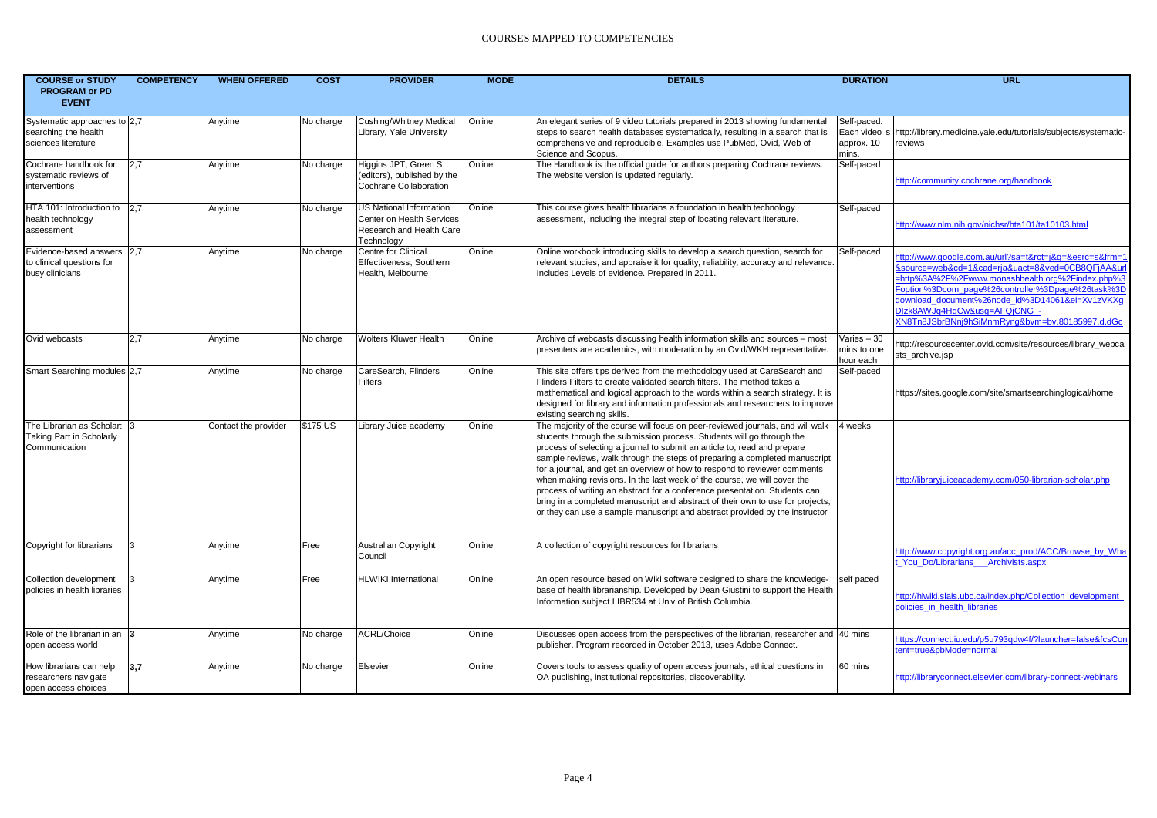| <b>COURSE or STUDY</b><br><b>PROGRAM or PD</b><br><b>EVENT</b>                  | <b>COMPETENCY</b> | <b>WHEN OFFERED</b>  | <b>COST</b> | <b>PROVIDER</b>                                                                                | <b>MODE</b> | <b>DETAILS</b>                                                                                                                                                                                                                                                                                                                                                                                                                                                                                                                                                                                                                                                                                                            | <b>DURATION</b>                                     | <b>URL</b>                                                                                                                                                                                                                                                                                                                                                |
|---------------------------------------------------------------------------------|-------------------|----------------------|-------------|------------------------------------------------------------------------------------------------|-------------|---------------------------------------------------------------------------------------------------------------------------------------------------------------------------------------------------------------------------------------------------------------------------------------------------------------------------------------------------------------------------------------------------------------------------------------------------------------------------------------------------------------------------------------------------------------------------------------------------------------------------------------------------------------------------------------------------------------------------|-----------------------------------------------------|-----------------------------------------------------------------------------------------------------------------------------------------------------------------------------------------------------------------------------------------------------------------------------------------------------------------------------------------------------------|
| Systematic approaches to 2,7<br>searching the health<br>sciences literature     |                   | Anytime              | No charge   | <b>Cushing/Whitney Medical</b><br>Library, Yale University                                     | Online      | An elegant series of 9 video tutorials prepared in 2013 showing fundamental<br>steps to search health databases systematically, resulting in a search that is<br>comprehensive and reproducible. Examples use PubMed, Ovid, Web of<br>Science and Scopus.                                                                                                                                                                                                                                                                                                                                                                                                                                                                 | Self-paced.<br>Each video is<br>approx. 10<br>mins. | http://library.medicine.yale.edu/tutorials/subjects/systematic-<br>reviews                                                                                                                                                                                                                                                                                |
| Cochrane handbook for<br>systematic reviews of<br>interventions                 | 2,7               | Anytime              | No charge   | Higgins JPT, Green S<br>(editors), published by the<br>Cochrane Collaboration                  | Online      | The Handbook is the official guide for authors preparing Cochrane reviews.<br>The website version is updated regularly.                                                                                                                                                                                                                                                                                                                                                                                                                                                                                                                                                                                                   | Self-paced                                          | http://community.cochrane.org/handbook                                                                                                                                                                                                                                                                                                                    |
| HTA 101: Introduction to 2.7<br>health technology<br>assessment                 |                   | Anytime              | No charge   | US National Information<br>Center on Health Services<br>Research and Health Care<br>Technology | Online      | This course gives health librarians a foundation in health technology<br>assessment, including the integral step of locating relevant literature.                                                                                                                                                                                                                                                                                                                                                                                                                                                                                                                                                                         | Self-paced                                          | http://www.nlm.nih.gov/nichsr/hta101/ta10103.html                                                                                                                                                                                                                                                                                                         |
| Evidence-based answers 2,7<br>to clinical questions for<br>busy clinicians      |                   | Anytime              | No charge   | Centre for Clinical<br>Effectiveness, Southern<br>Health, Melbourne                            | Online      | Online workbook introducing skills to develop a search question, search for<br>relevant studies, and appraise it for quality, reliability, accuracy and relevance.<br>Includes Levels of evidence. Prepared in 2011.                                                                                                                                                                                                                                                                                                                                                                                                                                                                                                      | Self-paced                                          | http://www.google.com.au/url?sa=t&rct=j&g=&esrc=s&frm=1<br>&source=web&cd=1&cad=ria&uact=8&ved=0CB8QFiAA&ur<br>http%3A%2F%2Fwww.monashhealth.org%2Findex.php%3=<br>Foption%3Dcom_page%26controller%3Dpage%26task%3D<br>download document%26node id%3D14061&ei=Xv1zVKXq<br>DIzk8AWJq4HqCw&usq=AFQiCNG -<br>XN8Tn8JSbrBNnj9hSiMnmRyng&bvm=bv.80185997,d.dGc |
| Ovid webcasts                                                                   | 2,7               | Anytime              | No charge   | <b>Wolters Kluwer Health</b>                                                                   | Online      | Archive of webcasts discussing health information skills and sources - most<br>presenters are academics, with moderation by an Ovid/WKH representative.                                                                                                                                                                                                                                                                                                                                                                                                                                                                                                                                                                   | Varies $-30$<br>mins to one<br>hour each            | http://resourcecenter.ovid.com/site/resources/library_webca<br>sts_archive.jsp                                                                                                                                                                                                                                                                            |
| Smart Searching modules 2,7                                                     |                   | Anytime              | No charge   | CareSearch, Flinders<br>Filters                                                                | Online      | This site offers tips derived from the methodology used at CareSearch and<br>Flinders Filters to create validated search filters. The method takes a<br>mathematical and logical approach to the words within a search strategy. It is<br>designed for library and information professionals and researchers to improve<br>existing searching skills.                                                                                                                                                                                                                                                                                                                                                                     | Self-paced                                          | https://sites.google.com/site/smartsearchinglogical/home                                                                                                                                                                                                                                                                                                  |
| The Librarian as Scholar: 3<br><b>Taking Part in Scholarly</b><br>Communication |                   | Contact the provider | \$175 US    | Library Juice academy                                                                          | Online      | The majority of the course will focus on peer-reviewed journals, and will walk<br>students through the submission process. Students will go through the<br>process of selecting a journal to submit an article to, read and prepare<br>sample reviews, walk through the steps of preparing a completed manuscript<br>for a journal, and get an overview of how to respond to reviewer comments<br>when making revisions. In the last week of the course, we will cover the<br>process of writing an abstract for a conference presentation. Students can<br>bring in a completed manuscript and abstract of their own to use for projects,<br>or they can use a sample manuscript and abstract provided by the instructor | 4 weeks                                             | http://librarviuiceacademy.com/050-librarian-scholar.php                                                                                                                                                                                                                                                                                                  |
| Copyright for librarians                                                        | 13                | Anytime              | Free        | <b>Australian Copyright</b><br>Council                                                         | Online      | A collection of copyright resources for librarians                                                                                                                                                                                                                                                                                                                                                                                                                                                                                                                                                                                                                                                                        |                                                     | http://www.copyright.org.au/acc_prod/ACC/Browse_by_Wha<br>You Do/Librarians Archivists.aspx                                                                                                                                                                                                                                                               |
| Collection development<br>policies in health libraries                          |                   | Anytime              | Free        | <b>HLWIKI International</b>                                                                    | Online      | An open resource based on Wiki software designed to share the knowledge-<br>base of health librarianship. Developed by Dean Giustini to support the Health<br>Information subject LIBR534 at Univ of British Columbia.                                                                                                                                                                                                                                                                                                                                                                                                                                                                                                    | self paced                                          | http://hlwiki.slais.ubc.ca/index.php/Collection development<br>policies in health libraries                                                                                                                                                                                                                                                               |
| Role of the librarian in an 3<br>open access world                              |                   | Anytime              | No charge   | ACRL/Choice                                                                                    | Online      | Discusses open access from the perspectives of the librarian, researcher and 40 mins<br>publisher. Program recorded in October 2013, uses Adobe Connect.                                                                                                                                                                                                                                                                                                                                                                                                                                                                                                                                                                  |                                                     | https://connect.iu.edu/p5u793qdw4f/?launcher=false&fcsCon<br>tent=true&pbMode=normal                                                                                                                                                                                                                                                                      |
| How librarians can help<br>researchers navigate<br>open access choices          | 3,7               | Anytime              | No charge   | Elsevier                                                                                       | Online      | Covers tools to assess quality of open access journals, ethical questions in<br>OA publishing, institutional repositories, discoverability.                                                                                                                                                                                                                                                                                                                                                                                                                                                                                                                                                                               | 60 mins                                             | http://libraryconnect.elsevier.com/library-connect-webinars                                                                                                                                                                                                                                                                                               |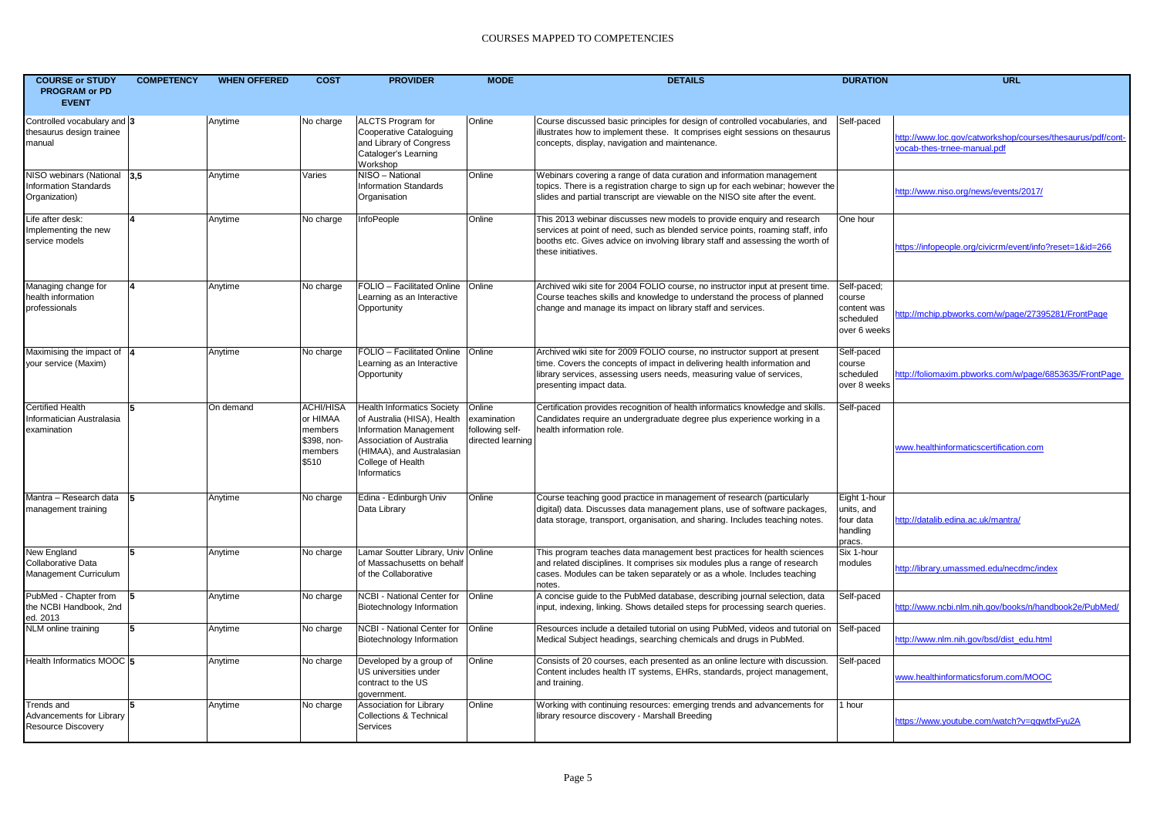| <b>COURSE or STUDY</b><br><b>PROGRAM or PD</b><br><b>EVENT</b>       | <b>COMPETENCY</b>      | <b>WHEN OFFERED</b> | <b>COST</b>                                                                | <b>PROVIDER</b>                                                                                                                                                                                              | <b>MODE</b>                                                   | <b>DETAILS</b>                                                                                                                                                                                                                                                   | <b>DURATION</b>                                                   | <b>URL</b>                                                                                |
|----------------------------------------------------------------------|------------------------|---------------------|----------------------------------------------------------------------------|--------------------------------------------------------------------------------------------------------------------------------------------------------------------------------------------------------------|---------------------------------------------------------------|------------------------------------------------------------------------------------------------------------------------------------------------------------------------------------------------------------------------------------------------------------------|-------------------------------------------------------------------|-------------------------------------------------------------------------------------------|
| Controlled vocabulary and 3<br>thesaurus design trainee<br>manual    |                        | Anytime             | No charge                                                                  | <b>ALCTS Program for</b><br>Cooperative Cataloguing<br>and Library of Congress<br>Cataloger's Learning<br>Workshop                                                                                           | Online                                                        | Course discussed basic principles for design of controlled vocabularies, and<br>illustrates how to implement these. It comprises eight sessions on thesaurus<br>concepts, display, navigation and maintenance.                                                   | Self-paced                                                        | http://www.loc.gov/catworkshop/courses/thesaurus/pdf/cont-<br>vocab-thes-trnee-manual.pdf |
| NISO webinars (National 3.5<br>nformation Standards<br>Organization) |                        | Anytime             | Varies                                                                     | NISO - National<br><b>Information Standards</b><br>Organisation                                                                                                                                              | Online                                                        | Webinars covering a range of data curation and information management<br>topics. There is a registration charge to sign up for each webinar; however the<br>slides and partial transcript are viewable on the NISO site after the event.                         |                                                                   | http://www.niso.org/news/events/2017/                                                     |
| Life after desk:<br>Implementing the new<br>service models           | $\boldsymbol{\Lambda}$ | Anytime             | No charge                                                                  | InfoPeople                                                                                                                                                                                                   | Online                                                        | This 2013 webinar discusses new models to provide enquiry and research<br>services at point of need, such as blended service points, roaming staff, info<br>booths etc. Gives advice on involving library staff and assessing the worth of<br>these initiatives. | One hour                                                          | https://infopeople.org/civicrm/event/info?reset=1&id=266                                  |
| Managing change for<br>health information<br>professionals           |                        | Anytime             | No charge                                                                  | FOLIO - Facilitated Online<br>Learning as an Interactive<br>Opportunity                                                                                                                                      | Online                                                        | Archived wiki site for 2004 FOLIO course, no instructor input at present time.<br>Course teaches skills and knowledge to understand the process of planned<br>change and manage its impact on library staff and services.                                        | Self-paced;<br>course<br>content was<br>scheduled<br>over 6 weeks | http://mchip.pbworks.com/w/page/27395281/FrontPage                                        |
| Maximising the impact of 4<br>your service (Maxim)                   |                        | Anytime             | No charge                                                                  | FOLIO - Facilitated Online   Online<br>Learning as an Interactive<br>Opportunity                                                                                                                             |                                                               | Archived wiki site for 2009 FOLIO course, no instructor support at present<br>time. Covers the concepts of impact in delivering health information and<br>library services, assessing users needs, measuring value of services,<br>presenting impact data.       | Self-paced<br>course<br>scheduled<br>over 8 weeks                 | http://foliomaxim.pbworks.com/w/page/6853635/FrontPage                                    |
| <b>Certified Health</b><br>nformatician Australasia<br>examination   | 5                      | On demand           | <b>ACHI/HISA</b><br>or HIMAA<br>members<br>\$398, non-<br>members<br>\$510 | <b>Health Informatics Society</b><br>of Australia (HISA), Health<br><b>Information Management</b><br><b>Association of Australia</b><br>(HIMAA), and Australasian<br>College of Health<br><b>Informatics</b> | Online<br>examination<br>following self-<br>directed learning | Certification provides recognition of health informatics knowledge and skills<br>Candidates require an undergraduate degree plus experience working in a<br>health information role.                                                                             | Self-paced                                                        | www.healthinformaticscertification.com                                                    |
| Mantra – Research data<br>management training                        |                        | Anytime             | No charge                                                                  | Edina - Edinburgh Univ<br>Data Library                                                                                                                                                                       | Online                                                        | Course teaching good practice in management of research (particularly<br>digital) data. Discusses data management plans, use of software packages.<br>data storage, transport, organisation, and sharing. Includes teaching notes.                               | Eight 1-hour<br>units, and<br>four data<br>handling<br>pracs.     | http://datalib.edina.ac.uk/mantra/                                                        |
| New England<br>Collaborative Data<br>Management Curriculum           | 15                     | Anytime             | No charge                                                                  | Lamar Soutter Library, Univ Online<br>of Massachusetts on behalf<br>of the Collaborative                                                                                                                     |                                                               | This program teaches data management best practices for health sciences<br>and related disciplines. It comprises six modules plus a range of research<br>cases. Modules can be taken separately or as a whole. Includes teaching<br>notes.                       | Six 1-hour<br>modules                                             | http://library.umassmed.edu/necdmc/index                                                  |
| PubMed - Chapter from<br>the NCBI Handbook, 2nd<br>ed. 2013          | l5                     | Anytime             | No charge                                                                  | NCBI - National Center for<br>Biotechnology Information                                                                                                                                                      | Online                                                        | A concise quide to the PubMed database, describing journal selection, data<br>input, indexing, linking. Shows detailed steps for processing search queries.                                                                                                      | Self-paced                                                        | http://www.ncbi.nlm.nih.gov/books/n/handbook2e/PubMed/                                    |
| NLM online training                                                  | l5                     | Anytime             | No charge                                                                  | NCBI - National Center for<br>Biotechnology Information                                                                                                                                                      | Online                                                        | Resources include a detailed tutorial on using PubMed, videos and tutorial on Self-paced<br>Medical Subject headings, searching chemicals and drugs in PubMed.                                                                                                   |                                                                   | http://www.nlm.nih.gov/bsd/dist_edu.html                                                  |
| Health Informatics MOOC 5                                            |                        | Anytime             | No charge                                                                  | Developed by a group of<br>US universities under<br>contract to the US<br>government.                                                                                                                        | Online                                                        | Consists of 20 courses, each presented as an online lecture with discussion.<br>Content includes health IT systems, EHRs, standards, project management,<br>and training.                                                                                        | Self-paced                                                        | www.healthinformaticsforum.com/MOOC                                                       |
| Trends and<br>Advancements for Library<br>Resource Discovery         | 15.                    | Anytime             | No charge                                                                  | <b>Association for Library</b><br><b>Collections &amp; Technical</b><br>Services                                                                                                                             | Online                                                        | Working with continuing resources: emerging trends and advancements for<br>library resource discovery - Marshall Breeding                                                                                                                                        | 1 hour                                                            | https://www.youtube.com/watch?v=qqwtfxFyu2A                                               |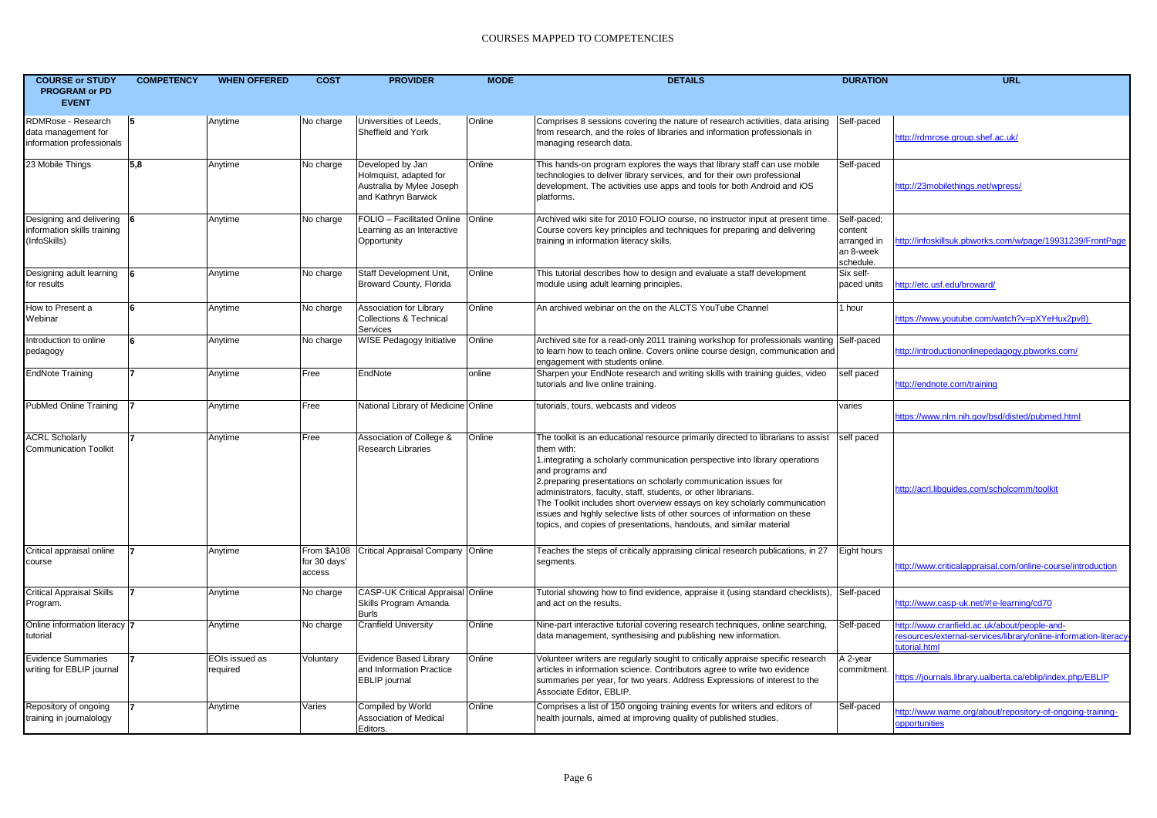| <b>COURSE or STUDY</b><br><b>PROGRAM or PD</b><br><b>EVENT</b>            | <b>COMPETENCY</b> | <b>WHEN OFFERED</b>        | <b>COST</b>                           | <b>PROVIDER</b>                                                                                | <b>MODE</b> | <b>DETAILS</b>                                                                                                                                                                                                                                                                                                                                                                                                                                                                                                                                                            | <b>DURATION</b>                                                 | <b>URL</b>                                                                                                                       |
|---------------------------------------------------------------------------|-------------------|----------------------------|---------------------------------------|------------------------------------------------------------------------------------------------|-------------|---------------------------------------------------------------------------------------------------------------------------------------------------------------------------------------------------------------------------------------------------------------------------------------------------------------------------------------------------------------------------------------------------------------------------------------------------------------------------------------------------------------------------------------------------------------------------|-----------------------------------------------------------------|----------------------------------------------------------------------------------------------------------------------------------|
| RDMRose - Research<br>data management for<br>information professionals    | 15                | Anytime                    | No charge                             | Universities of Leeds,<br>Sheffield and York                                                   | Online      | Comprises 8 sessions covering the nature of research activities, data arising<br>from research, and the roles of libraries and information professionals in<br>managing research data.                                                                                                                                                                                                                                                                                                                                                                                    | Self-paced                                                      | http://rdmrose.group.shef.ac.uk/                                                                                                 |
| 23 Mobile Things                                                          | 5.8               | Anytime                    | No charge                             | Developed by Jan<br>Holmquist, adapted for<br>Australia by Mylee Joseph<br>and Kathryn Barwick | Online      | This hands-on program explores the ways that library staff can use mobile<br>technologies to deliver library services, and for their own professional<br>development. The activities use apps and tools for both Android and iOS<br>platforms.                                                                                                                                                                                                                                                                                                                            | Self-paced                                                      | http://23mobilethings.net/wpress                                                                                                 |
| Designing and delivering 6<br>information skills training<br>(InfoSkills) |                   | Anytime                    | No charge                             | FOLIO - Facilitated Online<br>Learning as an Interactive<br>Opportunity                        | Online      | Archived wiki site for 2010 FOLIO course, no instructor input at present time.<br>Course covers key principles and techniques for preparing and delivering<br>training in information literacy skills.                                                                                                                                                                                                                                                                                                                                                                    | Self-paced;<br>content<br>arranged in<br>an 8-week<br>schedule. | http://infoskillsuk.pbworks.com/w/page/19931239/FrontPage                                                                        |
| Designing adult learning<br>for results                                   |                   | Anytime                    | No charge                             | Staff Development Unit,<br>Broward County, Florida                                             | Online      | This tutorial describes how to design and evaluate a staff development<br>module using adult learning principles.                                                                                                                                                                                                                                                                                                                                                                                                                                                         | Six self-<br>paced units                                        | http://etc.usf.edu/broward/                                                                                                      |
| How to Present a<br>Webinar                                               | ۱ĥ                | Anytime                    | No charge                             | Association for Library<br><b>Collections &amp; Technical</b><br><b>Services</b>               | Online      | An archived webinar on the on the ALCTS YouTube Channel                                                                                                                                                                                                                                                                                                                                                                                                                                                                                                                   | 1 hour                                                          | https://www.youtube.com/watch?v=pXYeHux2py8)                                                                                     |
| Introduction to online<br>pedagogy                                        | ۱6.               | Anytime                    | No charge                             | WISE Pedagogy Initiative                                                                       | Online      | Archived site for a read-only 2011 training workshop for professionals wanting Self-paced<br>to learn how to teach online. Covers online course design, communication and<br>engagement with students online.                                                                                                                                                                                                                                                                                                                                                             |                                                                 | http://introductiononlinepedagogy.pbworks.com/                                                                                   |
| <b>EndNote Training</b>                                                   |                   | Anytime                    | Free                                  | EndNote                                                                                        | online      | Sharpen your EndNote research and writing skills with training guides, video<br>tutorials and live online training.                                                                                                                                                                                                                                                                                                                                                                                                                                                       | self paced                                                      | http://endnote.com/training                                                                                                      |
| PubMed Online Training                                                    |                   | Anytime                    | Free                                  | National Library of Medicine Online                                                            |             | tutorials, tours, webcasts and videos                                                                                                                                                                                                                                                                                                                                                                                                                                                                                                                                     | varies                                                          | https://www.nlm.nih.gov/bsd/disted/pubmed.html                                                                                   |
| <b>ACRL Scholarly</b><br><b>Communication Toolkit</b>                     |                   | Anytime                    | Free                                  | Association of College &<br><b>Research Libraries</b>                                          | Online      | The toolkit is an educational resource primarily directed to librarians to assist<br>them with:<br>1.integrating a scholarly communication perspective into library operations<br>and programs and<br>2.preparing presentations on scholarly communication issues for<br>administrators, faculty, staff, students, or other librarians.<br>The Toolkit includes short overview essays on key scholarly communication<br>issues and highly selective lists of other sources of information on these<br>topics, and copies of presentations, handouts, and similar material | self paced                                                      | http://acrl.libguides.com/scholcomm/toolkit                                                                                      |
| Critical appraisal online<br>course                                       |                   | Anytime                    | From \$A108<br>for 30 days'<br>access | Critical Appraisal Company Online                                                              |             | Teaches the steps of critically appraising clinical research publications, in 27<br>segments.                                                                                                                                                                                                                                                                                                                                                                                                                                                                             | Eight hours                                                     | http://www.criticalappraisal.com/online-course/introduction                                                                      |
| Critical Appraisal Skills<br>Program.                                     |                   | Anytime                    | No charge                             | CASP-UK Critical Appraisal Online<br>Skills Program Amanda<br><b>Burls</b>                     |             | Tutorial showing how to find evidence, appraise it (using standard checklists), Self-paced<br>and act on the results.                                                                                                                                                                                                                                                                                                                                                                                                                                                     |                                                                 | http://www.casp-uk.net/#!e-learning/cd70                                                                                         |
| Online information literacy 7<br>tutorial                                 |                   | Anytime                    | No charge                             | <b>Cranfield University</b>                                                                    | Online      | Nine-part interactive tutorial covering research techniques, online searching,<br>data management, synthesising and publishing new information.                                                                                                                                                                                                                                                                                                                                                                                                                           | Self-paced                                                      | http://www.cranfield.ac.uk/about/people-and-<br>resources/external-services/library/online-information-literacy<br>tutorial.html |
| <b>Evidence Summaries</b><br>writing for EBLIP journal                    |                   | EOIs issued as<br>required | Voluntary                             | <b>Evidence Based Library</b><br>and Information Practice<br><b>EBLIP</b> journal              | Online      | Volunteer writers are regularly sought to critically appraise specific research<br>articles in information science. Contributors agree to write two evidence<br>summaries per year, for two years. Address Expressions of interest to the<br>Associate Editor, EBLIP.                                                                                                                                                                                                                                                                                                     | A 2-year<br>commitment.                                         | https://journals.library.ualberta.ca/eblip/index.php/EBLIP                                                                       |
| Repository of ongoing<br>training in journalology                         |                   | Anytime                    | Varies                                | Compiled by World<br><b>Association of Medical</b><br>Editors.                                 | Online      | Comprises a list of 150 ongoing training events for writers and editors of<br>health journals, aimed at improving quality of published studies.                                                                                                                                                                                                                                                                                                                                                                                                                           | Self-paced                                                      | http://www.wame.org/about/repository-of-ongoing-training-<br>opportunities                                                       |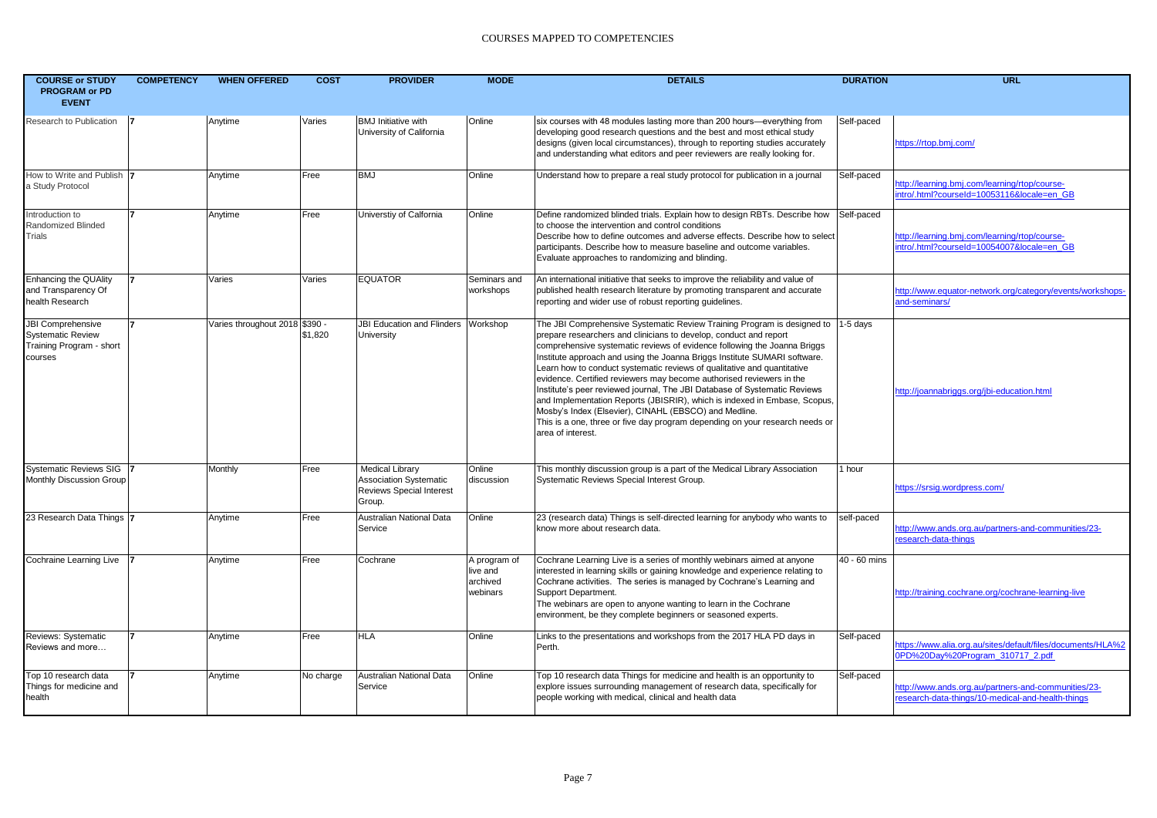| <b>COURSE or STUDY</b><br><b>PROGRAM or PD</b><br><b>EVENT</b>                       | <b>COMPETENCY</b> | <b>WHEN OFFERED</b>            | <b>COST</b> | <b>PROVIDER</b>                                                                                      | <b>MODE</b>                                      | <b>DETAILS</b>                                                                                                                                                                                                                                                                                                                                                                                                                                                                                                                                                                                                                                                                                                                                                                             | <b>DURATION</b> | <b>URL</b>                                                                                               |
|--------------------------------------------------------------------------------------|-------------------|--------------------------------|-------------|------------------------------------------------------------------------------------------------------|--------------------------------------------------|--------------------------------------------------------------------------------------------------------------------------------------------------------------------------------------------------------------------------------------------------------------------------------------------------------------------------------------------------------------------------------------------------------------------------------------------------------------------------------------------------------------------------------------------------------------------------------------------------------------------------------------------------------------------------------------------------------------------------------------------------------------------------------------------|-----------------|----------------------------------------------------------------------------------------------------------|
| Research to Publication                                                              |                   | Anytime                        | Varies      | <b>BMJ</b> Initiative with<br>University of California                                               | Online                                           | six courses with 48 modules lasting more than 200 hours-everything from<br>developing good research questions and the best and most ethical study<br>designs (given local circumstances), through to reporting studies accurately<br>and understanding what editors and peer reviewers are really looking for.                                                                                                                                                                                                                                                                                                                                                                                                                                                                             | Self-paced      | https://rtop.bmj.com/                                                                                    |
| How to Write and Publish  7<br>a Study Protocol                                      |                   | Anytime                        | Free        | <b>BMJ</b>                                                                                           | Online                                           | Understand how to prepare a real study protocol for publication in a journal                                                                                                                                                                                                                                                                                                                                                                                                                                                                                                                                                                                                                                                                                                               | Self-paced      | http://learning.bmj.com/learning/rtop/course-<br>intro/.html?courseId=10053116&locale=en GB              |
| Introduction to<br>Randomized Blinded<br>Trials                                      |                   | Anytime                        | Free        | Universtiy of Calfornia                                                                              | Online                                           | Define randomized blinded trials. Explain how to design RBTs. Describe how<br>to choose the intervention and control conditions<br>Describe how to define outcomes and adverse effects. Describe how to select<br>participants. Describe how to measure baseline and outcome variables.<br>Evaluate approaches to randomizing and blinding.                                                                                                                                                                                                                                                                                                                                                                                                                                                | Self-paced      | http://learning.bmi.com/learning/rtop/course-<br>ntro/.html?courseId=10054007&locale=en_GB               |
| <b>Enhancing the QUAlity</b><br>and Transparency Of<br>health Research               |                   | Varies                         | Varies      | <b>EQUATOR</b>                                                                                       | Seminars and<br>workshops                        | An international initiative that seeks to improve the reliability and value of<br>published health research literature by promoting transparent and accurate<br>reporting and wider use of robust reporting guidelines.                                                                                                                                                                                                                                                                                                                                                                                                                                                                                                                                                                    |                 | http://www.equator-network.org/category/events/workshops-<br>and-seminars/                               |
| JBI Comprehensive<br><b>Systematic Review</b><br>Training Program - short<br>courses |                   | Varies throughout 2018 \$390 - | \$1,820     | JBI Education and Flinders Workshop<br>University                                                    |                                                  | The JBI Comprehensive Systematic Review Training Program is designed to  1-5 days<br>prepare researchers and clinicians to develop, conduct and report<br>comprehensive systematic reviews of evidence following the Joanna Briggs<br>Institute approach and using the Joanna Briggs Institute SUMARI software.<br>Learn how to conduct systematic reviews of qualitative and quantitative<br>evidence. Certified reviewers may become authorised reviewers in the<br>Institute's peer reviewed journal, The JBI Database of Systematic Reviews<br>and Implementation Reports (JBISRIR), which is indexed in Embase, Scopus,<br>Mosby's Index (Elsevier), CINAHL (EBSCO) and Medline.<br>This is a one, three or five day program depending on your research needs or<br>area of interest. |                 | http://joannabriggs.org/jbi-education.htm                                                                |
| Systematic Reviews SIG 7<br>Monthly Discussion Group                                 |                   | Monthly                        | Free        | <b>Medical Library</b><br><b>Association Systematic</b><br><b>Reviews Special Interest</b><br>Group. | Online<br>discussion                             | This monthly discussion group is a part of the Medical Library Association<br>Systematic Reviews Special Interest Group.                                                                                                                                                                                                                                                                                                                                                                                                                                                                                                                                                                                                                                                                   | 1 hour          | https://srsig.wordpress.com/                                                                             |
| 23 Research Data Things  7                                                           |                   | Anytime                        | Free        | Australian National Data<br>Service                                                                  | Online                                           | 23 (research data) Things is self-directed learning for anybody who wants to<br>know more about research data.                                                                                                                                                                                                                                                                                                                                                                                                                                                                                                                                                                                                                                                                             | self-paced      | http://www.ands.org.au/partners-and-communities/23-<br>esearch-data-things                               |
| Cochraine Learning Live                                                              |                   | Anytime                        | Free        | Cochrane                                                                                             | A program of<br>live and<br>archived<br>webinars | Cochrane Learning Live is a series of monthly webinars aimed at anyone<br>interested in learning skills or gaining knowledge and experience relating to<br>Cochrane activities. The series is managed by Cochrane's Learning and<br>Support Department.<br>The webinars are open to anyone wanting to learn in the Cochrane<br>environment, be they complete beginners or seasoned experts.                                                                                                                                                                                                                                                                                                                                                                                                | 40 - 60 mins    | http://training.cochrane.org/cochrane-learning-live                                                      |
| Reviews: Systematic<br>Reviews and more                                              |                   | Anytime                        | Free        | <b>HLA</b>                                                                                           | Online                                           | Links to the presentations and workshops from the 2017 HLA PD days in<br>Perth.                                                                                                                                                                                                                                                                                                                                                                                                                                                                                                                                                                                                                                                                                                            | Self-paced      | ttps://www.alia.org.au/sites/default/files/documents/HLA%2<br>0PD%20Dav%20Program 310717 2.pdf           |
| Top 10 research data<br>Things for medicine and<br>health                            |                   | Anytime                        | No charge   | Australian National Data<br>Service                                                                  | Online                                           | Top 10 research data Things for medicine and health is an opportunity to<br>explore issues surrounding management of research data, specifically for<br>people working with medical, clinical and health data                                                                                                                                                                                                                                                                                                                                                                                                                                                                                                                                                                              | Self-paced      | http://www.ands.org.au/partners-and-communities/23-<br>research-data-things/10-medical-and-health-things |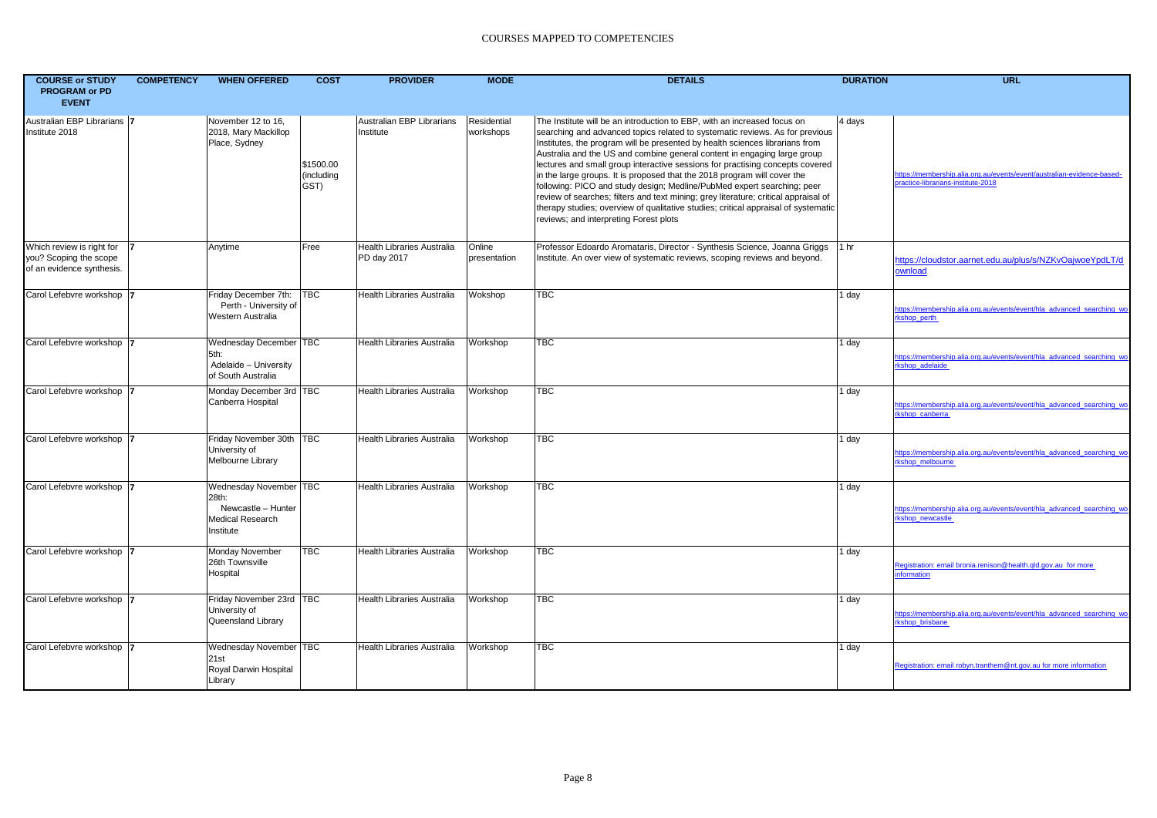| <b>COURSE or STUDY</b><br><b>PROGRAM or PD</b><br><b>EVENT</b>                   | <b>COMPETENCY</b> | <b>WHEN OFFERED</b>                                                                    | <b>COST</b>                     | <b>PROVIDER</b>                                  | <b>MODE</b>              | <b>DETAILS</b>                                                                                                                                                                                                                                                                                                                                                                                                                                                                                                                                                                                                                                                                                                                                                                      | <b>DURATION</b> | <b>URL</b>                                                                                                   |
|----------------------------------------------------------------------------------|-------------------|----------------------------------------------------------------------------------------|---------------------------------|--------------------------------------------------|--------------------------|-------------------------------------------------------------------------------------------------------------------------------------------------------------------------------------------------------------------------------------------------------------------------------------------------------------------------------------------------------------------------------------------------------------------------------------------------------------------------------------------------------------------------------------------------------------------------------------------------------------------------------------------------------------------------------------------------------------------------------------------------------------------------------------|-----------------|--------------------------------------------------------------------------------------------------------------|
| Australian EBP Librarians 7<br>Institute 2018                                    |                   | November 12 to 16,<br>2018, Mary Mackillop<br>Place, Sydney                            | \$1500.00<br>(including<br>GST) | Australian EBP Librarians<br>Institute           | Residential<br>workshops | The Institute will be an introduction to EBP, with an increased focus on<br>searching and advanced topics related to systematic reviews. As for previous<br>Institutes, the program will be presented by health sciences librarians from<br>Australia and the US and combine general content in engaging large group<br>lectures and small group interactive sessions for practising concepts covered<br>in the large groups. It is proposed that the 2018 program will cover the<br>following: PICO and study design; Medline/PubMed expert searching; peer<br>review of searches; filters and text mining; grey literature; critical appraisal of<br>therapy studies; overview of qualitative studies; critical appraisal of systematic<br>reviews; and interpreting Forest plots | 4 days          | https://membership.alia.org.au/events/event/australian-evidence-based-<br>practice-librarians-institute-2018 |
| Which review is right for<br>you? Scoping the scope<br>of an evidence synthesis. |                   | Anytime                                                                                | Free                            | <b>Health Libraries Australia</b><br>PD day 2017 | Online<br>presentation   | Professor Edoardo Aromataris, Director - Synthesis Science, Joanna Griggs<br>Institute. An over view of systematic reviews, scoping reviews and beyond.                                                                                                                                                                                                                                                                                                                                                                                                                                                                                                                                                                                                                             | 1 hr            | https://cloudstor.aarnet.edu.au/plus/s/NZKvOajwoeYpdLT/d<br>ownload                                          |
| Carol Lefebvre workshop  7                                                       |                   | Friday December 7th:<br>Perth - University of<br>Western Australia                     | <b>TBC</b>                      | <b>Health Libraries Australia</b>                | Wokshop                  | TBC                                                                                                                                                                                                                                                                                                                                                                                                                                                                                                                                                                                                                                                                                                                                                                                 | 1 day           | https://membership.alia.org.au/events/event/hla advanced searching wo<br>rkshop perth                        |
| Carol Lefebvre workshop  7                                                       |                   | Wednesday December TBC<br>5th:<br>Adelaide - University<br>of South Australia          |                                 | <b>Health Libraries Australia</b>                | Workshop                 | TBC                                                                                                                                                                                                                                                                                                                                                                                                                                                                                                                                                                                                                                                                                                                                                                                 | 1 day           | https://membership.alia.org.au/events/event/hla advanced searching wo<br>rkshop adelaide                     |
| Carol Lefebvre workshop                                                          |                   | Monday December 3rd   TBC<br>Canberra Hospital                                         |                                 | Health Libraries Australia                       | Workshop                 | TBC                                                                                                                                                                                                                                                                                                                                                                                                                                                                                                                                                                                                                                                                                                                                                                                 | 1 day           | https://membership.alia.org.au/events/event/hla advanced searching wo<br>rkshop canberra                     |
| Carol Lefebvre workshop                                                          |                   | Friday November 30th   TBC<br>University of<br>Melbourne Library                       |                                 | <b>Health Libraries Australia</b>                | Workshop                 | TBC                                                                                                                                                                                                                                                                                                                                                                                                                                                                                                                                                                                                                                                                                                                                                                                 | 1 day           | https://membership.alia.org.au/events/event/hla_advanced_searching_wo<br>rkshop_melbourne                    |
| Carol Lefebvre workshop                                                          |                   | Wednesday November TBC<br>28th:<br>Newcastle - Hunter<br>Medical Research<br>Institute |                                 | <b>Health Libraries Australia</b>                | Workshop                 | TBC                                                                                                                                                                                                                                                                                                                                                                                                                                                                                                                                                                                                                                                                                                                                                                                 | 1 day           | https://membership.alia.org.au/events/event/hla_advanced_searching_wo<br>rkshop newcastle                    |
| Carol Lefebvre workshop  7                                                       |                   | Monday November<br>26th Townsville<br>Hospital                                         | <b>TBC</b>                      | <b>Health Libraries Australia</b>                | Workshop                 | TBC                                                                                                                                                                                                                                                                                                                                                                                                                                                                                                                                                                                                                                                                                                                                                                                 | 1 day           | Registration: email bronia.renison@health.qld.gov.au for more<br>information                                 |
| Carol Lefebvre workshop                                                          |                   | Friday November 23rd   TBC<br>University of<br>Queensland Library                      |                                 | <b>Health Libraries Australia</b>                | Workshop                 | ТВС                                                                                                                                                                                                                                                                                                                                                                                                                                                                                                                                                                                                                                                                                                                                                                                 | 1 day           | https://membership.alia.org.au/events/event/hla_advanced_searching_wo<br>rkshop_brisbane                     |
| Carol Lefebvre workshop                                                          |                   | Wednesday November   TBC<br>21st<br>Royal Darwin Hospital<br>Library                   |                                 | <b>Health Libraries Australia</b>                | Workshop                 | TBC                                                                                                                                                                                                                                                                                                                                                                                                                                                                                                                                                                                                                                                                                                                                                                                 | 1 day           | Registration: email robyn.tranthem@nt.gov.au for more information                                            |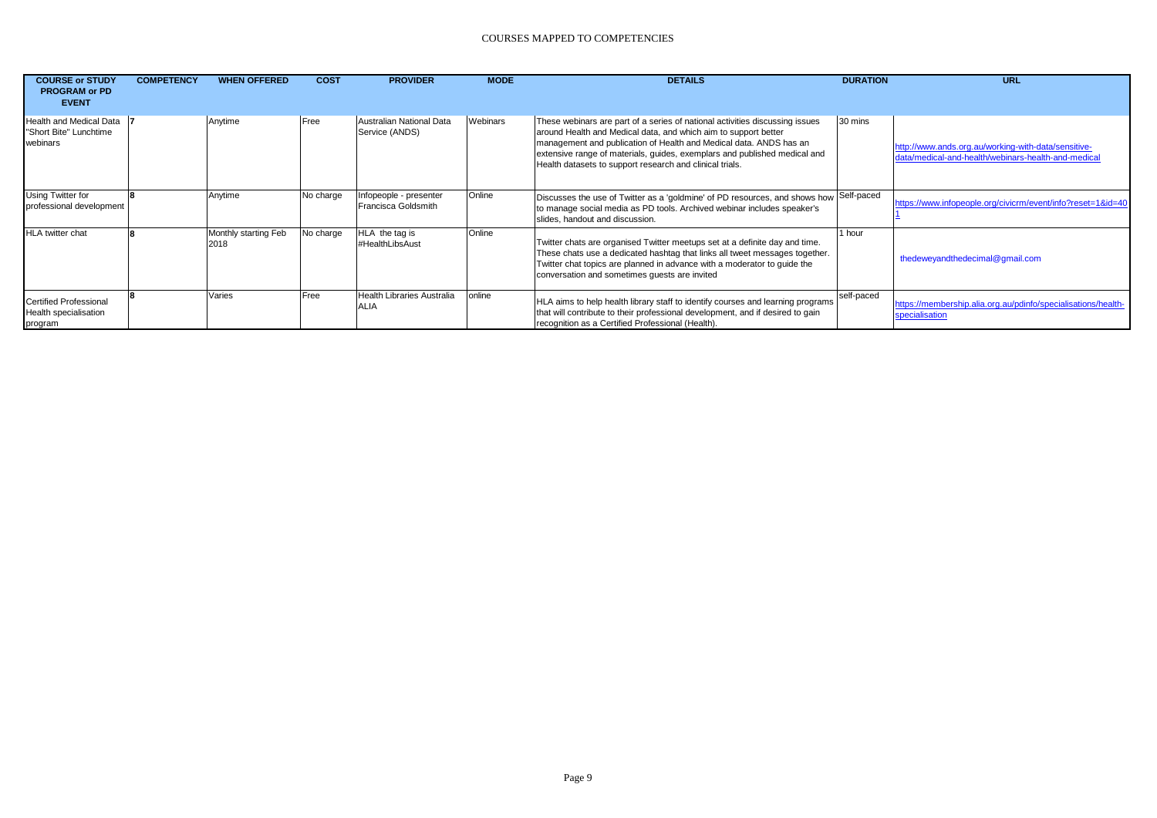| <b>COURSE or STUDY</b><br><b>PROGRAM or PD</b><br><b>EVENT</b> | <b>COMPETENCY</b> | <b>WHEN OFFERED</b>          | <b>COST</b> | <b>PROVIDER</b>                               | <b>MODE</b> | <b>DETAILS</b>                                                                                                                                                                                                                                                                                                                                                 | <b>DURATION</b> | URL                                                                                                        |
|----------------------------------------------------------------|-------------------|------------------------------|-------------|-----------------------------------------------|-------------|----------------------------------------------------------------------------------------------------------------------------------------------------------------------------------------------------------------------------------------------------------------------------------------------------------------------------------------------------------------|-----------------|------------------------------------------------------------------------------------------------------------|
| Health and Medical Data<br>"Short Bite" Lunchtime<br>webinars  |                   | Anytime                      | Free        | Australian National Data<br>Service (ANDS)    | Webinars    | These webinars are part of a series of national activities discussing issues<br>around Health and Medical data, and which aim to support better<br>management and publication of Health and Medical data. ANDS has an<br>extensive range of materials, guides, exemplars and published medical and<br>Health datasets to support research and clinical trials. | 30 mins         | http://www.ands.org.au/working-with-data/sensitive-<br>data/medical-and-health/webinars-health-and-medical |
| Using Twitter for<br>professional development                  |                   | Anytime                      | No charge   | Infopeople - presenter<br>Francisca Goldsmith | Online      | Discusses the use of Twitter as a 'goldmine' of PD resources, and shows how Self-paced<br>to manage social media as PD tools. Archived webinar includes speaker's<br>slides, handout and discussion.                                                                                                                                                           |                 | https://www.infopeople.org/civicrm/event/info?reset=1&id=40                                                |
| <b>HLA</b> twitter chat                                        |                   | Monthly starting Feb<br>2018 | No charge   | HLA the tag is<br>#HealthLibsAust             | Online      | Twitter chats are organised Twitter meetups set at a definite day and time.<br>These chats use a dedicated hashtag that links all tweet messages together.<br>Twitter chat topics are planned in advance with a moderator to quide the<br>conversation and sometimes quests are invited                                                                        | 1 hour          | thedeweyandthedecimal@gmail.com                                                                            |
| Certified Professional<br>Health specialisation<br>program     |                   | Varies                       | Free        | Health Libraries Australia<br><b>ALIA</b>     | online      | HLA aims to help health library staff to identify courses and learning programs<br>that will contribute to their professional development, and if desired to gain<br>recognition as a Certified Professional (Health).                                                                                                                                         | self-paced      | https://membership.alia.org.au/pdinfo/specialisations/health-<br>specialisation                            |